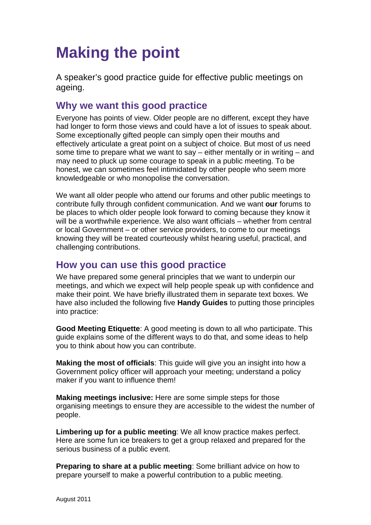# **Making the point**

A speaker's good practice guide for effective public meetings on ageing.

## **Why we want this good practice**

Everyone has points of view. Older people are no different, except they have had longer to form those views and could have a lot of issues to speak about. Some exceptionally gifted people can simply open their mouths and effectively articulate a great point on a subject of choice. But most of us need some time to prepare what we want to say – either mentally or in writing – and may need to pluck up some courage to speak in a public meeting. To be honest, we can sometimes feel intimidated by other people who seem more knowledgeable or who monopolise the conversation.

We want all older people who attend our forums and other public meetings to contribute fully through confident communication. And we want **our** forums to be places to which older people look forward to coming because they know it will be a worthwhile experience. We also want officials – whether from central or local Government – or other service providers, to come to our meetings knowing they will be treated courteously whilst hearing useful, practical, and challenging contributions.

## **How you can use this good practice**

We have prepared some general principles that we want to underpin our meetings, and which we expect will help people speak up with confidence and make their point. We have briefly illustrated them in separate text boxes. We have also included the following five **Handy Guides** to putting those principles into practice:

**Good Meeting Etiquette**: A good meeting is down to all who participate. This guide explains some of the different ways to do that, and some ideas to help you to think about how you can contribute.

**Making the most of officials**: This guide will give you an insight into how a Government policy officer will approach your meeting; understand a policy maker if you want to influence them!

**Making meetings inclusive:** Here are some simple steps for those organising meetings to ensure they are accessible to the widest the number of people.

**Limbering up for a public meeting**: We all know practice makes perfect. Here are some fun ice breakers to get a group relaxed and prepared for the serious business of a public event.

**Preparing to share at a public meeting**: Some brilliant advice on how to prepare yourself to make a powerful contribution to a public meeting.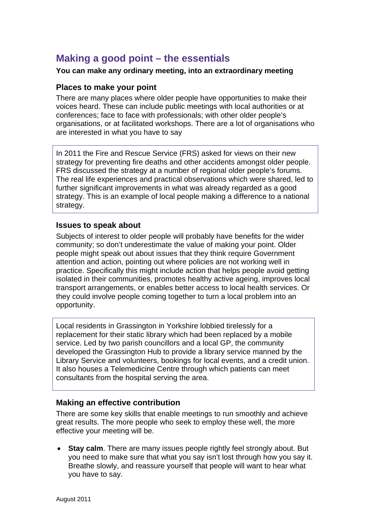## **Making a good point – the essentials**

#### **You can make any ordinary meeting, into an extraordinary meeting**

#### **Places to make your point**

There are many places where older people have opportunities to make their voices heard. These can include public meetings with local authorities or at conferences; face to face with professionals; with other older people's organisations, or at facilitated workshops. There are a lot of organisations who are interested in what you have to say

In 2011 the Fire and Rescue Service (FRS) asked for views on their new strategy for preventing fire deaths and other accidents amongst older people. FRS discussed the strategy at a number of regional older people's forums. The real life experiences and practical observations which were shared, led to further significant improvements in what was already regarded as a good strategy. This is an example of local people making a difference to a national strategy.

#### **Issues to speak about**

Subjects of interest to older people will probably have benefits for the wider community; so don't underestimate the value of making your point. Older people might speak out about issues that they think require Government attention and action, pointing out where policies are not working well in practice. Specifically this might include action that helps people avoid getting isolated in their communities, promotes healthy active ageing, improves local transport arrangements, or enables better access to local health services. Or they could involve people coming together to turn a local problem into an opportunity.

Local residents in Grassington in Yorkshire lobbied tirelessly for a replacement for their static library which had been replaced by a mobile service. Led by two parish councillors and a local GP, the community developed the Grassington Hub to provide a library service manned by the Library Service and volunteers, bookings for local events, and a credit union. It also houses a Telemedicine Centre through which patients can meet consultants from the hospital serving the area.

#### **Making an effective contribution**

There are some key skills that enable meetings to run smoothly and achieve great results. The more people who seek to employ these well, the more effective your meeting will be.

**Stay calm**. There are many issues people rightly feel strongly about. But you need to make sure that what you say isn't lost through how you say it. Breathe slowly, and reassure yourself that people will want to hear what you have to say.